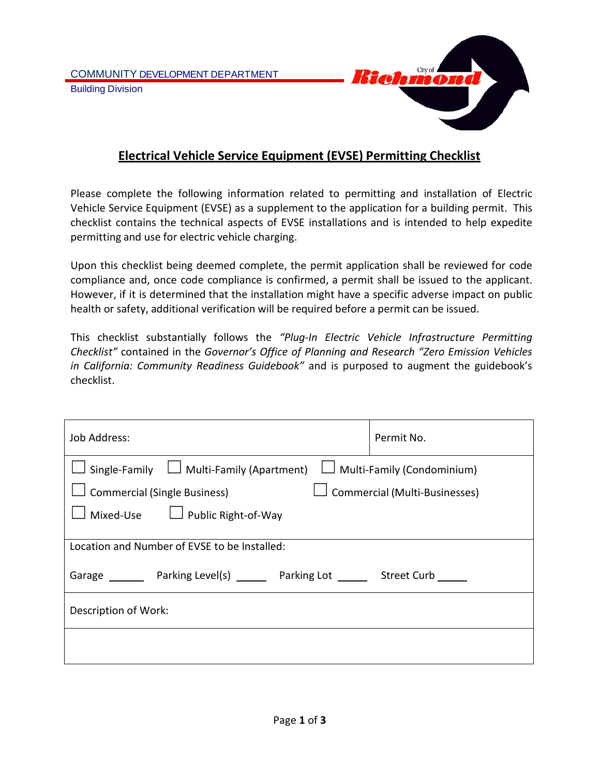

## **Electrical Vehicle Service Equipment (EVSE) Permitting Checklist**

Please complete the following information related to permitting and installation of Electric Vehicle Service Equipment (EVSE) as a supplement to the application for a building permit. This checklist contains the technical aspects of EVSE installations and is intended to help expedite permitting and use for electric vehicle charging.

Upon this checklist being deemed complete, the permit application shall be reviewed for code compliance and, once code compliance is confirmed, a permit shall be issued to the applicant. However, if it is determined that the installation might have a specific adverse impact on public health or safety, additional verification will be required before a permit can be issued.

This checklist substantially follows the *"Plug-In Electric Vehicle Infrastructure Permitting Checklist"* contained in the *Governor's Office of Planning and Research "Zero Emission Vehicles in California: Community Readiness Guidebook"* and is purposed to augment the guidebook's checklist.

| Job Address:                                                                       | Permit No.                           |  |
|------------------------------------------------------------------------------------|--------------------------------------|--|
| Single-Family $\Box$ Multi-Family (Apartment)<br>$\Box$ Multi-Family (Condominium) |                                      |  |
| <b>Commercial (Single Business)</b>                                                | $\Box$ Commercial (Multi-Businesses) |  |
| Mixed-Use $\Box$ Public Right-of-Way                                               |                                      |  |
|                                                                                    |                                      |  |
| Location and Number of EVSE to be Installed:                                       |                                      |  |
| Garage Parking Level(s) Parking Lot Curb Street Curb                               |                                      |  |
| Description of Work:                                                               |                                      |  |
|                                                                                    |                                      |  |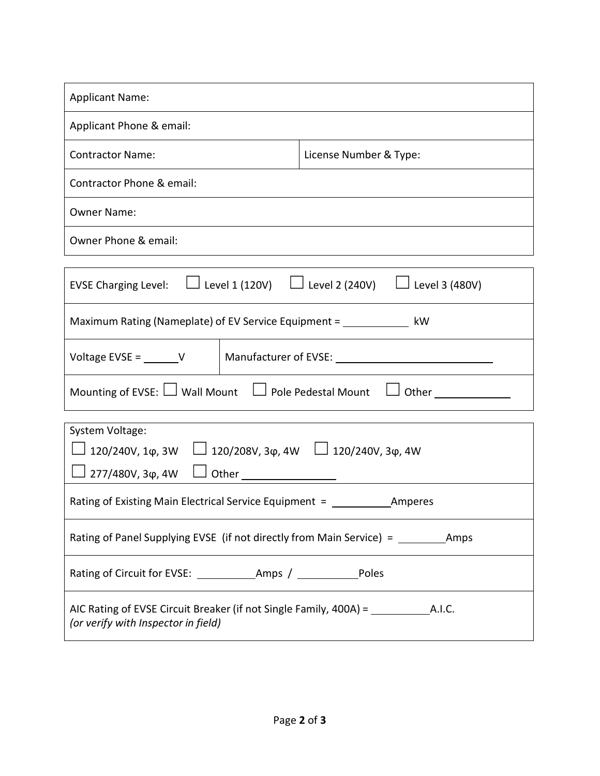| <b>Applicant Name:</b>    |                        |  |
|---------------------------|------------------------|--|
| Applicant Phone & email:  |                        |  |
| <b>Contractor Name:</b>   | License Number & Type: |  |
| Contractor Phone & email: |                        |  |
| <b>Owner Name:</b>        |                        |  |
| Owner Phone & email:      |                        |  |

|                                                                                | EVSE Charging Level: $\Box$ Level 1 (120V) $\Box$ Level 2 (240V) $\Box$ Level 3 (480V) |  |  |  |
|--------------------------------------------------------------------------------|----------------------------------------------------------------------------------------|--|--|--|
| Maximum Rating (Nameplate) of EV Service Equipment =<br>kW                     |                                                                                        |  |  |  |
| Voltage EVSE = $\rule{1em}{0.15mm}$ V                                          | Manufacturer of EVSE: __                                                               |  |  |  |
| Mounting of EVSE: $\Box$ Wall Mount $\Box$ Pole Pedestal Mount<br>$\Box$ Other |                                                                                        |  |  |  |
| $C_{\rm{total}}$ and $M_{\rm{eff}}$ and $\sim$                                 |                                                                                        |  |  |  |

| System Voltage:                                                                          |  |  |
|------------------------------------------------------------------------------------------|--|--|
| $\Box$ 120/240V, 1φ, 3W $\Box$ 120/208V, 3φ, 4W $\Box$ 120/240V, 3φ, 4W                  |  |  |
| $□$ 277/480V, 3φ, 4W                                                                     |  |  |
| Rating of Existing Main Electrical Service Equipment = _________________________ Amperes |  |  |
| Rating of Panel Supplying EVSE (if not directly from Main Service) = ____________ Amps   |  |  |
|                                                                                          |  |  |
| (or verify with Inspector in field)                                                      |  |  |